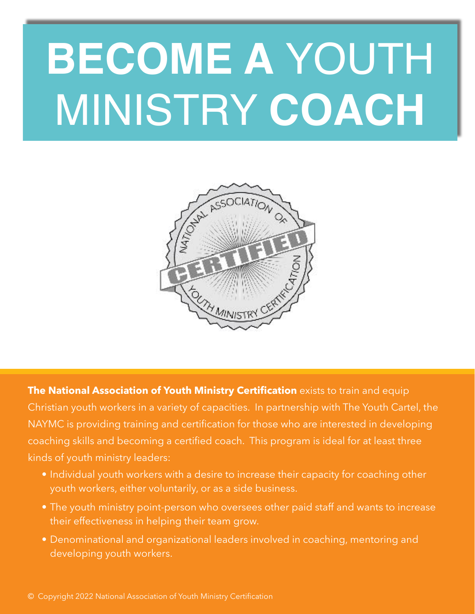# **BECOME A** YOUTH MINISTRY **COACH**



**The National Association of Youth Ministry Certification** exists to train and equip Christian youth workers in a variety of capacities. In partnership with The Youth Cartel, the NAYMC is providing training and certification for those who are interested in developing coaching skills and becoming a certified coach. This program is ideal for at least three kinds of youth ministry leaders:

- Individual youth workers with a desire to increase their capacity for coaching other youth workers, either voluntarily, or as a side business.
- The youth ministry point-person who oversees other paid staff and wants to increase their effectiveness in helping their team grow.
- Denominational and organizational leaders involved in coaching, mentoring and developing youth workers.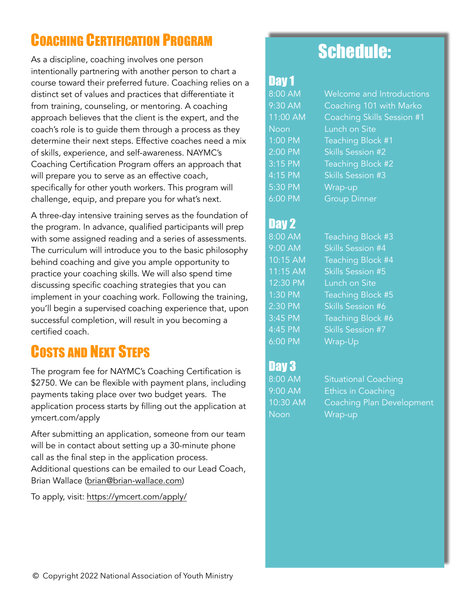# COACHING CERTIFICATION PROGRAM

As a discipline, coaching involves one person intentionally partnering with another person to chart a course toward their preferred future. Coaching relies on a distinct set of values and practices that differentiate it from training, counseling, or mentoring. A coaching approach believes that the client is the expert, and the coach's role is to guide them through a process as they determine their next steps. Effective coaches need a mix of skills, experience, and self-awareness. NAYMC's Coaching Certification Program offers an approach that will prepare you to serve as an effective coach, specifically for other youth workers. This program will challenge, equip, and prepare you for what's next.

A three-day intensive training serves as the foundation of the program. In advance, qualified participants will prep with some assigned reading and a series of assessments. The curriculum will introduce you to the basic philosophy behind coaching and give you ample opportunity to practice your coaching skills. We will also spend time discussing specific coaching strategies that you can implement in your coaching work. Following the training, you'll begin a supervised coaching experience that, upon successful completion, will result in you becoming a certified coach.

## COSTS AND NEXT STEPS

The program fee for NAYMC's Coaching Certification is \$2750. We can be flexible with payment plans, including payments taking place over two budget years. The application process starts by filling out the application at ymcert.com/apply

After submitting an application, someone from our team will be in contact about setting up a 30-minute phone call as the final step in the application process. Additional questions can be emailed to our Lead Coach, Brian Wallace [\(brian@brian-wallace.com\)](mailto:brian@brian-wallace.com)

To apply, visit: <https://ymcert.com/apply/>

# Schedule:

## Day 1

8:00 AM Welcome and Introductions 9:30 AM Coaching 101 with Marko 11:00 AM Coaching Skills Session #1 Noon Lunch on Site 1:00 PM Teaching Block #1 2:00 PM Skills Session #2 3:15 PM Teaching Block #2 4:15 PM Skills Session #3 5:30 PM Wrap-up 6:00 PM Group Dinner

## Day 2

8:00 AM Teaching Block #3 9:00 AM Skills Session #4 10:15 AM Teaching Block #4 11:15 AM Skills Session #5 12:30 PM Lunch on Site 1:30 PM Teaching Block #5 2:30 PM Skills Session #6 3:45 PM Teaching Block #6 4:45 PM Skills Session #7 6:00 PM Wrap-Up

## Day 3

Noon Wrap-up

8:00 AM Situational Coaching 9:00 AM Ethics in Coaching 10:30 AM Coaching Plan Development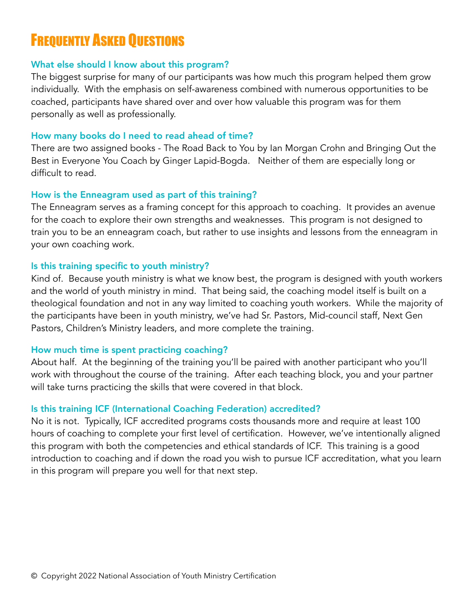# **FREQUENTLY ASKED QUESTIONS**

#### What else should I know about this program?

The biggest surprise for many of our participants was how much this program helped them grow individually. With the emphasis on self-awareness combined with numerous opportunities to be coached, participants have shared over and over how valuable this program was for them personally as well as professionally.

#### How many books do I need to read ahead of time?

There are two assigned books - The Road Back to You by Ian Morgan Crohn and Bringing Out the Best in Everyone You Coach by Ginger Lapid-Bogda. Neither of them are especially long or difficult to read.

#### How is the Enneagram used as part of this training?

The Enneagram serves as a framing concept for this approach to coaching. It provides an avenue for the coach to explore their own strengths and weaknesses. This program is not designed to train you to be an enneagram coach, but rather to use insights and lessons from the enneagram in your own coaching work.

#### Is this training specific to youth ministry?

Kind of. Because youth ministry is what we know best, the program is designed with youth workers and the world of youth ministry in mind. That being said, the coaching model itself is built on a theological foundation and not in any way limited to coaching youth workers. While the majority of the participants have been in youth ministry, we've had Sr. Pastors, Mid-council staff, Next Gen Pastors, Children's Ministry leaders, and more complete the training.

#### How much time is spent practicing coaching?

About half. At the beginning of the training you'll be paired with another participant who you'll work with throughout the course of the training. After each teaching block, you and your partner will take turns practicing the skills that were covered in that block.

#### Is this training ICF (International Coaching Federation) accredited?

No it is not. Typically, ICF accredited programs costs thousands more and require at least 100 hours of coaching to complete your first level of certification. However, we've intentionally aligned this program with both the competencies and ethical standards of ICF. This training is a good introduction to coaching and if down the road you wish to pursue ICF accreditation, what you learn in this program will prepare you well for that next step.